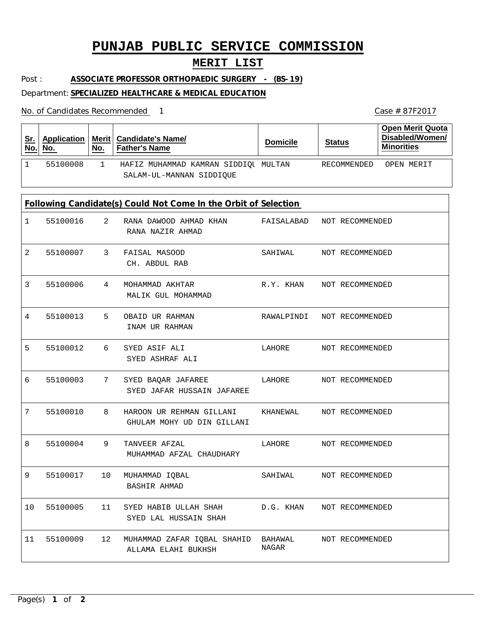# **PUNJAB PUBLIC SERVICE COMMISSION**

## **MERIT LIST**

Post : **ASSOCIATE PROFESSOR ORTHOPAEDIC SURGERY - (BS-19)**

### Department: **SPECIALIZED HEALTHCARE & MEDICAL EDUCATION**

No. of Candidates Recommended

| <u>Sr.</u><br>No.                                               | <b>Application</b><br>No. | Merit<br>No. | <b>Candidate's Name/</b><br><b>Father's Name</b>                 | <b>Domicile</b>  | <b>Status</b>   | <b>Open Merit Quota</b><br>Disabled/Women/<br><b>Minorities</b> |  |  |  |  |
|-----------------------------------------------------------------|---------------------------|--------------|------------------------------------------------------------------|------------------|-----------------|-----------------------------------------------------------------|--|--|--|--|
| 1                                                               | 55100008                  | $\mathbf{1}$ | HAFIZ MUHAMMAD KAMRAN SIDDIQU MULTAN<br>SALAM-UL-MANNAN SIDDIQUE |                  | RECOMMENDED     | OPEN MERIT                                                      |  |  |  |  |
| Following Candidate(s) Could Not Come In the Orbit of Selection |                           |              |                                                                  |                  |                 |                                                                 |  |  |  |  |
| $\mathbf 1$                                                     | 55100016                  | 2            | RANA DAWOOD AHMAD KHAN<br>RANA NAZIR AHMAD                       | FAISALABAD       | NOT RECOMMENDED |                                                                 |  |  |  |  |
| 2                                                               | 55100007                  | 3            | FAISAL MASOOD<br>CH. ABDUL RAB                                   | SAHIWAL          | NOT RECOMMENDED |                                                                 |  |  |  |  |
| 3                                                               | 55100006                  | 4            | MOHAMMAD AKHTAR<br>MALIK GUL MOHAMMAD                            | R.Y. KHAN        | NOT RECOMMENDED |                                                                 |  |  |  |  |
| 4                                                               | 55100013                  | 5            | OBAID UR RAHMAN<br>INAM UR RAHMAN                                | RAWALPINDI       | NOT RECOMMENDED |                                                                 |  |  |  |  |
| 5                                                               | 55100012                  | 6            | SYED ASIF ALI<br>SYED ASHRAF ALI                                 | LAHORE           | NOT RECOMMENDED |                                                                 |  |  |  |  |
| 6                                                               | 55100003                  | 7            | SYED BAQAR JAFAREE<br>SYED JAFAR HUSSAIN JAFAREE                 | LAHORE           | NOT RECOMMENDED |                                                                 |  |  |  |  |
| 7                                                               | 55100010                  | 8            | HAROON UR REHMAN GILLANI<br>GHULAM MOHY UD DIN GILLANI           | KHANEWAL         | NOT RECOMMENDED |                                                                 |  |  |  |  |
| 8                                                               | 55100004                  | 9            | TANVEER AFZAL<br>MUHAMMAD AFZAL CHAUDHARY                        | LAHORE           | NOT RECOMMENDED |                                                                 |  |  |  |  |
| 9                                                               | 55100017                  | 10           | MUHAMMAD IQBAL<br>BASHIR AHMAD                                   | SAHIWAL          | NOT RECOMMENDED |                                                                 |  |  |  |  |
| 10                                                              | 55100005                  | 11           | SYED HABIB ULLAH SHAH<br>SYED LAL HUSSAIN SHAH                   | D.G. KHAN        | NOT RECOMMENDED |                                                                 |  |  |  |  |
| 11                                                              | 55100009                  | 12           | MUHAMMAD ZAFAR IQBAL SHAHID<br>ALLAMA ELAHI BUKHSH               | BAHAWAL<br>NAGAR | NOT RECOMMENDED |                                                                 |  |  |  |  |